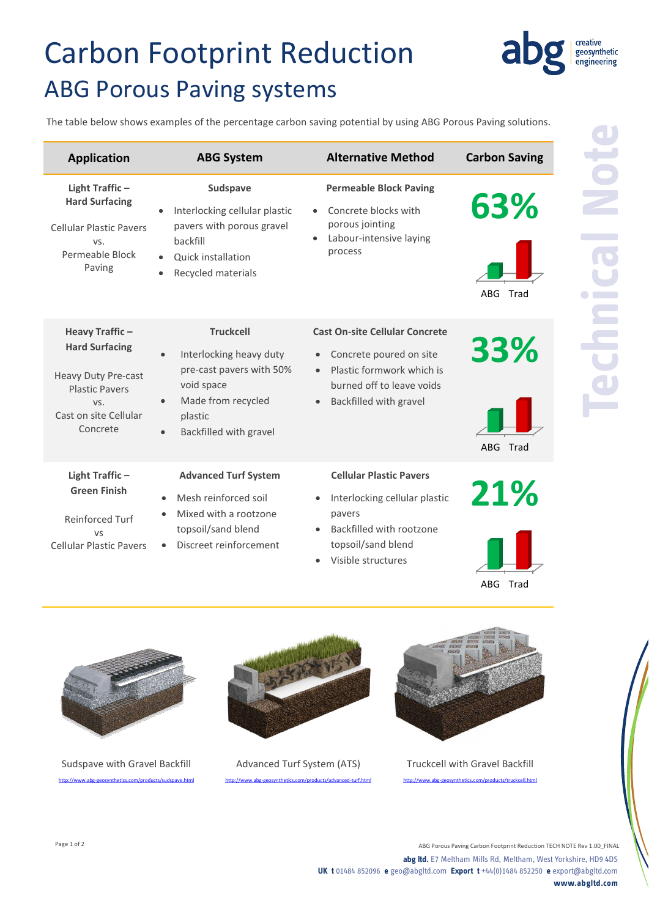# Carbon Footprint Reduction ABG Porous Paving systems

The table below shows examples of the percentage carbon saving potential by using ABG Porous Paving solutions.

| <b>Application</b>                                                                                                                  | <b>ABG System</b>                                                                                                                                                            | <b>Alternative Method</b>                                                                                                                                                                   | <b>Carbon Saving</b> |
|-------------------------------------------------------------------------------------------------------------------------------------|------------------------------------------------------------------------------------------------------------------------------------------------------------------------------|---------------------------------------------------------------------------------------------------------------------------------------------------------------------------------------------|----------------------|
| Light Traffic-<br><b>Hard Surfacing</b><br><b>Cellular Plastic Pavers</b><br>VS.<br>Permeable Block<br>Paving                       | Sudspave<br>Interlocking cellular plastic<br>$\bullet$<br>pavers with porous gravel<br>backfill<br><b>Ouick installation</b><br>$\bullet$<br>Recycled materials<br>$\bullet$ | <b>Permeable Block Paving</b><br>Concrete blocks with<br>porous jointing<br>Labour-intensive laying<br>process                                                                              | 63%<br>ABG<br>Trad   |
| Heavy Traffic-<br><b>Hard Surfacing</b><br>Heavy Duty Pre-cast<br><b>Plastic Pavers</b><br>VS.<br>Cast on site Cellular<br>Concrete | <b>Truckcell</b><br>Interlocking heavy duty<br>$\bullet$<br>pre-cast pavers with 50%<br>void space<br>Made from recycled<br>plastic<br>Backfilled with gravel<br>$\bullet$   | <b>Cast On-site Cellular Concrete</b><br>Concrete poured on site<br>$\bullet$<br>Plastic formwork which is<br>$\bullet$<br>burned off to leave voids<br>Backfilled with gravel<br>$\bullet$ | 33%<br>ABG Trad      |
| Light Traffic-<br><b>Green Finish</b><br>Reinforced Turf<br>VS<br><b>Cellular Plastic Pavers</b>                                    | <b>Advanced Turf System</b><br>Mesh reinforced soil<br>$\bullet$<br>Mixed with a rootzone<br>topsoil/sand blend<br>Discreet reinforcement                                    | <b>Cellular Plastic Pavers</b><br>Interlocking cellular plastic<br>$\bullet$<br>pavers<br>Backfilled with rootzone<br>$\bullet$<br>topsoil/sand blend<br>Visible structures<br>$\bullet$    | 21%                  |



Sudspave with Gravel Backfill .com/products/sudspave.html



Advanced Turf System (ATS)

http://www.abs-geosynthetics.com/products/advanced-turf.html



Truckcell with Gravel Backfill

<http://www.abg-geosynthetics.com/products/truckcell.html>

ABG Trad